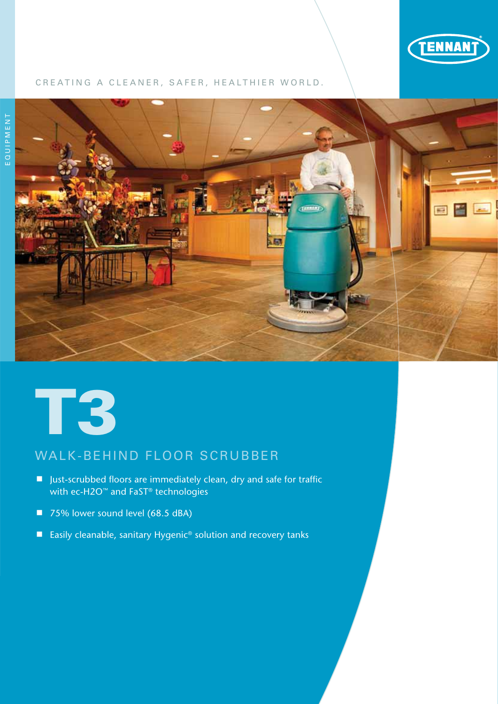

## CREATING A CLEANER, SAFER, HEALTHIER WORLD.





# WALK-BEHIND FLOOR SCRUBBER

- Just-scrubbed floors are immediately clean, dry and safe for traffic with ec-H2O™ and FaST® technologies
- 75% lower sound level (68.5 dBA)
- Easily cleanable, sanitary Hygenic<sup>®</sup> solution and recovery tanks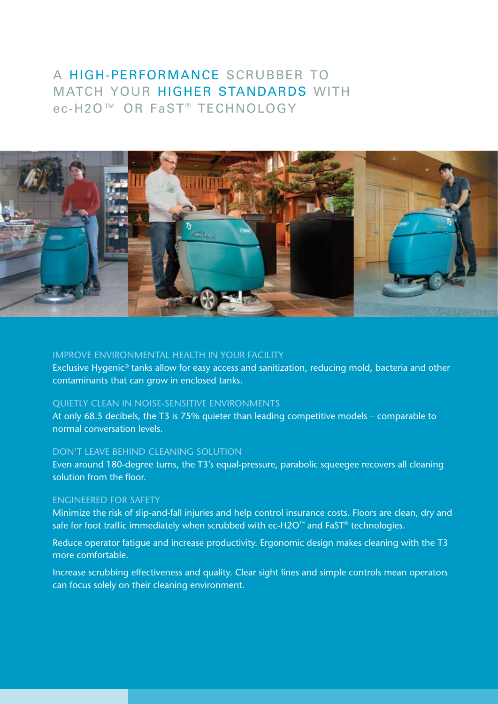# a high-performance scrubber to match your higher standards with ec-H2O™ OR FaST® TECHNOLOGY



## Improve environmental health in your facility

Exclusive Hygenic® tanks allow for easy access and sanitization, reducing mold, bacteria and other contaminants that can grow in enclosed tanks.

### Quietly clean in noise-sensitive environments

At only 68.5 decibels, the T3 is 75% quieter than leading competitive models – comparable to normal conversation levels.

#### don't leave behind cleaning solution

Even around 180-degree turns, the T3's equal-pressure, parabolic squeegee recovers all cleaning solution from the floor.

#### engineered for safety

Minimize the risk of slip-and-fall injuries and help control insurance costs. Floors are clean, dry and safe for foot traffic immediately when scrubbed with ec-H2O™ and FaST® technologies.

Reduce operator fatigue and increase productivity. Ergonomic design makes cleaning with the T3 more comfortable.

Increase scrubbing effectiveness and quality. Clear sight lines and simple controls mean operators can focus solely on their cleaning environment.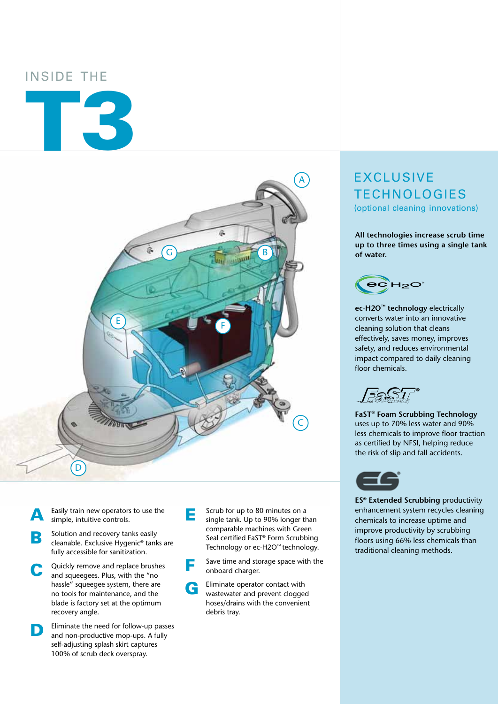## Inside the

# T3



- Easily train new operators to use the simple, intuitive controls.
- **B** Solution and recovery tanks easily<br>cleanable. Exclusive Hygenic® tanks are fully accessible for sanitization.
- C Quickly remove and replace brushes and squeegees. Plus, with the "no hassle" squeegee system, there are no tools for maintenance, and the blade is factory set at the optimum recovery angle.
- **D** Eliminate the need for follow-up passes and non-productive mop-ups. A fully self-adjusting splash skirt captures 100% of scrub deck overspray.
- **E** Scrub for up to 80 minutes on a<br>single tank. Up to 90% longer than comparable machines with Green Seal certified FaST® Form Scrubbing Technology or ec-H2O™ technology.
	- Save time and storage space with the onboard charger.
- G Eliminate operator contact with wastewater and prevent clogged hoses/drains with the convenient debris tray.

# **EXCLUSIVE TECHNOLOGIES** (optional cleaning innovations)

**All technologies increase scrub time up to three times using a single tank of water.**



**ec-H2O™ technology** electrically converts water into an innovative cleaning solution that cleans effectively, saves money, improves safety, and reduces environmental impact compared to daily cleaning floor chemicals.

**FaST® Foam Scrubbing Technology** uses up to 70% less water and 90% less chemicals to improve floor traction as certified by NFSI, helping reduce the risk of slip and fall accidents.



**ES® Extended Scrubbing** productivity enhancement system recycles cleaning chemicals to increase uptime and improve productivity by scrubbing floors using 66% less chemicals than traditional cleaning methods.